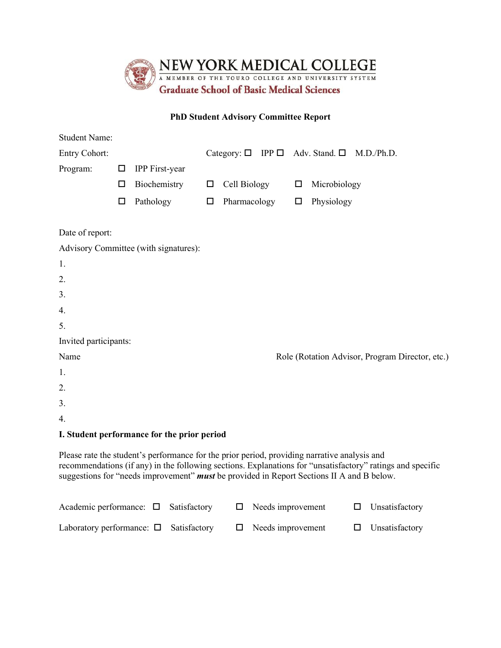

## **PhD Student Advisory Committee Report**

| <b>Student Name:</b>  |        |                                                                                                                                                                                           |        |                                                           |  |        |              |                                                                                                            |
|-----------------------|--------|-------------------------------------------------------------------------------------------------------------------------------------------------------------------------------------------|--------|-----------------------------------------------------------|--|--------|--------------|------------------------------------------------------------------------------------------------------------|
| <b>Entry Cohort:</b>  |        |                                                                                                                                                                                           |        | Category: $\Box$ IPP $\Box$ Adv. Stand. $\Box$ M.D./Ph.D. |  |        |              |                                                                                                            |
| Program:              | $\Box$ | <b>IPP</b> First-year                                                                                                                                                                     |        |                                                           |  |        |              |                                                                                                            |
|                       | □      | Biochemistry                                                                                                                                                                              | $\Box$ | Cell Biology                                              |  | $\Box$ | Microbiology |                                                                                                            |
|                       | $\Box$ | Pathology                                                                                                                                                                                 | $\Box$ | Pharmacology                                              |  | $\Box$ | Physiology   |                                                                                                            |
| Date of report:       |        |                                                                                                                                                                                           |        |                                                           |  |        |              |                                                                                                            |
|                       |        | Advisory Committee (with signatures):                                                                                                                                                     |        |                                                           |  |        |              |                                                                                                            |
| 1.                    |        |                                                                                                                                                                                           |        |                                                           |  |        |              |                                                                                                            |
| 2.                    |        |                                                                                                                                                                                           |        |                                                           |  |        |              |                                                                                                            |
| 3.                    |        |                                                                                                                                                                                           |        |                                                           |  |        |              |                                                                                                            |
| 4.                    |        |                                                                                                                                                                                           |        |                                                           |  |        |              |                                                                                                            |
| 5.                    |        |                                                                                                                                                                                           |        |                                                           |  |        |              |                                                                                                            |
| Invited participants: |        |                                                                                                                                                                                           |        |                                                           |  |        |              |                                                                                                            |
| Name                  |        |                                                                                                                                                                                           |        |                                                           |  |        |              | Role (Rotation Advisor, Program Director, etc.)                                                            |
| 1.                    |        |                                                                                                                                                                                           |        |                                                           |  |        |              |                                                                                                            |
| 2.                    |        |                                                                                                                                                                                           |        |                                                           |  |        |              |                                                                                                            |
| 3.                    |        |                                                                                                                                                                                           |        |                                                           |  |        |              |                                                                                                            |
| 4.                    |        |                                                                                                                                                                                           |        |                                                           |  |        |              |                                                                                                            |
|                       |        | I. Student performance for the prior period                                                                                                                                               |        |                                                           |  |        |              |                                                                                                            |
|                       |        | Please rate the student's performance for the prior period, providing narrative analysis and<br>suggestions for "needs improvement" must be provided in Report Sections II A and B below. |        |                                                           |  |        |              | recommendations (if any) in the following sections. Explanations for "unsatisfactory" ratings and specific |

| Academic performance: $\Box$ Satisfactory $\Box$ Needs improvement $\Box$ Unsatisfactory   |  |  |  |
|--------------------------------------------------------------------------------------------|--|--|--|
| Laboratory performance: $\Box$ Satisfactory $\Box$ Needs improvement $\Box$ Unsatisfactory |  |  |  |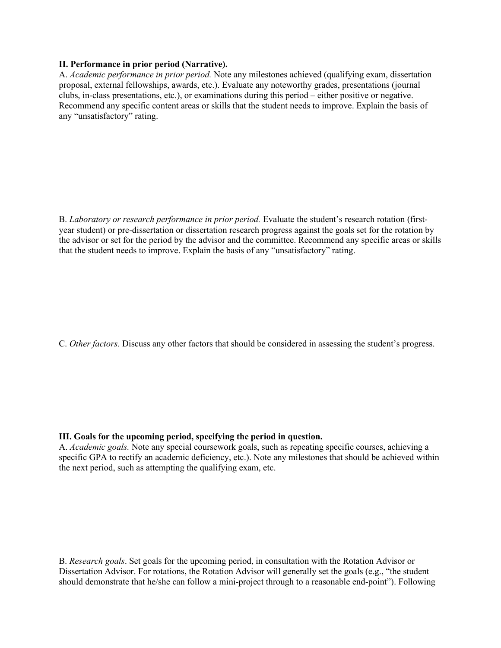## **II. Performance in prior period (Narrative).**

A. *Academic performance in prior period.* Note any milestones achieved (qualifying exam, dissertation proposal, external fellowships, awards, etc.). Evaluate any noteworthy grades, presentations (journal clubs, in-class presentations, etc.), or examinations during this period – either positive or negative. Recommend any specific content areas or skills that the student needs to improve. Explain the basis of any "unsatisfactory" rating.

B. *Laboratory or research performance in prior period.* Evaluate the student's research rotation (firstyear student) or pre-dissertation or dissertation research progress against the goals set for the rotation by the advisor or set for the period by the advisor and the committee. Recommend any specific areas or skills that the student needs to improve. Explain the basis of any "unsatisfactory" rating.

C. *Other factors.* Discuss any other factors that should be considered in assessing the student's progress.

## **III. Goals for the upcoming period, specifying the period in question.**

A. *Academic goals.* Note any special coursework goals, such as repeating specific courses, achieving a specific GPA to rectify an academic deficiency, etc.). Note any milestones that should be achieved within the next period, such as attempting the qualifying exam, etc.

B. *Research goals*. Set goals for the upcoming period, in consultation with the Rotation Advisor or Dissertation Advisor. For rotations, the Rotation Advisor will generally set the goals (e.g., "the student should demonstrate that he/she can follow a mini-project through to a reasonable end-point"). Following